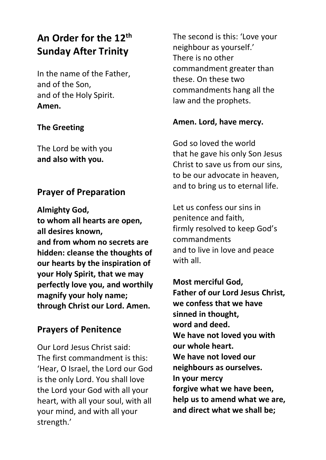# **An Order for the 12th Sunday After Trinity**

In the name of the Father, and of the Son, and of the Holy Spirit. **Amen.**

#### **The Greeting**

The Lord be with you **and also with you.**

## **Prayer of Preparation**

**Almighty God, to whom all hearts are open, all desires known, and from whom no secrets are hidden: cleanse the thoughts of our hearts by the inspiration of your Holy Spirit, that we may perfectly love you, and worthily magnify your holy name; through Christ our Lord. Amen.**

## **Prayers of Penitence**

Our Lord Jesus Christ said: The first commandment is this: 'Hear, O Israel, the Lord our God is the only Lord. You shall love the Lord your God with all your heart, with all your soul, with all your mind, and with all your strength.'

The second is this: 'Love your neighbour as yourself.' There is no other commandment greater than these. On these two commandments hang all the law and the prophets.

#### **Amen. Lord, have mercy.**

God so loved the world that he gave his only Son Jesus Christ to save us from our sins, to be our advocate in heaven, and to bring us to eternal life.

Let us confess our sins in penitence and faith, firmly resolved to keep God's commandments and to live in love and peace with all

**Most merciful God, Father of our Lord Jesus Christ, we confess that we have sinned in thought, word and deed. We have not loved you with our whole heart. We have not loved our neighbours as ourselves. In your mercy forgive what we have been, help us to amend what we are, and direct what we shall be;**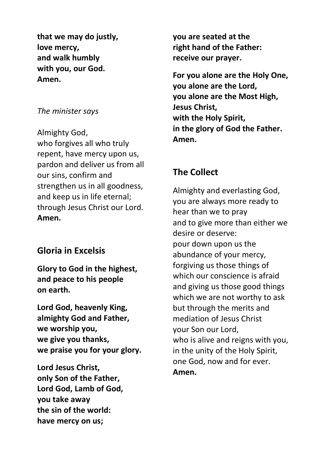**that we may do justly, love mercy, and walk humbly with you, our God. Amen.**

#### *The minister says*

Almighty God, who forgives all who truly repent, have mercy upon us, pardon and deliver us from all our sins, confirm and strengthen us in all goodness, and keep us in life eternal; through Jesus Christ our Lord. **Amen.**

## **Gloria in Excelsis**

**Glory to God in the highest, and peace to his people on earth.**

**Lord God, heavenly King, almighty God and Father, we worship you, we give you thanks, we praise you for your glory.**

**Lord Jesus Christ, only Son of the Father, Lord God, Lamb of God, you take away the sin of the world: have mercy on us;**

**you are seated at the right hand of the Father: receive our prayer.**

**For you alone are the Holy One, you alone are the Lord, you alone are the Most High, Jesus Christ, with the Holy Spirit, in the glory of God the Father. Amen.**

# **The Collect**

Almighty and everlasting God, you are always more ready to hear than we to pray and to give more than either we desire or deserve: pour down upon us the abundance of your mercy, forgiving us those things of which our conscience is afraid and giving us those good things which we are not worthy to ask but through the merits and mediation of Jesus Christ your Son our Lord, who is alive and reigns with you, in the unity of the Holy Spirit, one God, now and for ever. **Amen.**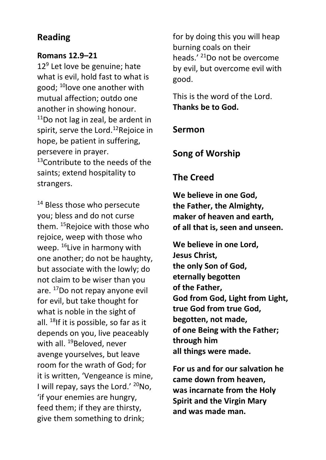# **Reading**

#### **Romans 12.9–21**

12<sup>9</sup> Let love be genuine; hate what is evil, hold fast to what is good; <sup>10</sup>love one another with mutual affection; outdo one another in showing honour.  $11$ Do not lag in zeal, be ardent in spirit, serve the Lord.<sup>12</sup>Rejoice in hope, be patient in suffering, persevere in prayer.  $13$ Contribute to the needs of the saints; extend hospitality to strangers.

<sup>14</sup> Bless those who persecute you; bless and do not curse them. <sup>15</sup>Rejoice with those who rejoice, weep with those who weep. <sup>16</sup>Live in harmony with one another; do not be haughty, but associate with the lowly; do not claim to be wiser than you are. <sup>17</sup>Do not repay anyone evil for evil, but take thought for what is noble in the sight of all. <sup>18</sup>If it is possible, so far as it depends on you, live peaceably with all. <sup>19</sup>Beloved, never avenge yourselves, but leave room for the wrath of God; for it is written, 'Vengeance is mine, I will repay, says the Lord.' <sup>20</sup>No, 'if your enemies are hungry, feed them; if they are thirsty, give them something to drink;

for by doing this you will heap burning coals on their heads.' <sup>21</sup>Do not be overcome by evil, but overcome evil with good.

This is the word of the Lord. **Thanks be to God.**

## **Sermon**

**Song of Worship**

# **The Creed**

**We believe in one God, the Father, the Almighty, maker of heaven and earth, of all that is, seen and unseen.**

**We believe in one Lord, Jesus Christ, the only Son of God, eternally begotten of the Father, God from God, Light from Light, true God from true God, begotten, not made, of one Being with the Father; through him all things were made.**

**For us and for our salvation he came down from heaven, was incarnate from the Holy Spirit and the Virgin Mary and was made man.**